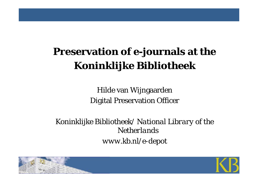# **Preservation of e-journals at the**  *Koninklijke Bibliotheek*

Hilde van Wijngaarden Digital Preservation Officer

*Koninklijke Bibliotheek/ National Library of the Netherlandswww.kb.nl/e-depot*



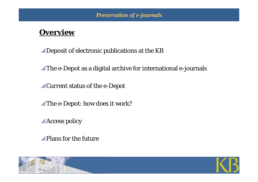#### **Overview**

 $\mathbb Z$ Deposit of electronic publications at the KB

 $\mathbb Z$ The e-Depot as a digital archive for international e-journals

 $\mathscr{A}$ Current status of the e-Depot

 $\mathscr{A}$ The e-Depot: how does it work?

**Access policy** 

 $\mathbb Z$ Plans for the future

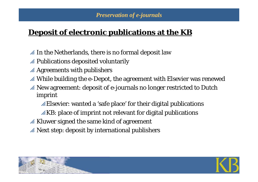# **Deposit of electronic publications at the KB**

- $\mathscr A$  In the Netherlands, there is no formal deposit law
- $\mathscr A$  Publications deposited voluntarily
- $\mathscr A$  Agreements with publishers
- $\mathbb Z$  While building the e-Depot, the agreement with Elsevier was renewed
- $\mathscr A$  New agreement: deposit of e-journals no longer restricted to Dutch imprint
	- $\mathscr{L}$ Elsevier: wanted a 'safe place' for their digital publications
	- $\mathscr{B}$ KB: place of imprint not relevant for digital publications
- $\mathscr A$  Kluwer signed the same kind of agreement
- $\mathscr{A}$  Next step: deposit by international publishers



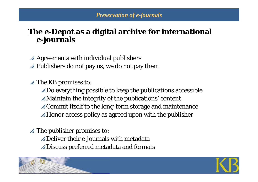# **The e-Depot as a digital archive for international e-journals**

 $\mathscr A$  Agreements with individual publishers  $\mathbb Z$  Publishers do not pay us, we do not pay them

 $\mathscr{A}$  The KB promises to:

 $\mathbb Z$ Do everything possible to keep the publications accessible  $\mathbb Z$ Maintain the integrity of the publications' content  $\mathscr{A}$ Commit itself to the long-term storage and maintenance  $\mathbb Z$ Honor access policy as agreed upon with the publisher

 $\mathscr{A}$  The publisher promises to:

 $\mathbb Z$ Deliver their e-journals with metadata  $\mathbb Z$ Discuss preferred metadata and formats



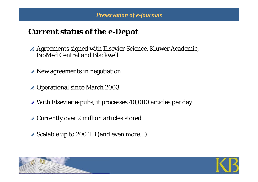# **Current status of the e-Depot**

 $\mathscr A$  Agreements signed with Elsevier Science, Kluwer Academic, BioMed Central and Blackwell

- $\mathscr{A}$  New agreements in negotiation
- $\mathscr A$  Operational since March 2003
- $\mathscr A$  With Elsevier e-pubs, it processes 40,000 articles per day
- $\mathscr A$  Currently over 2 million articles stored
- $\mathscr A$  Scalable up to 200 TB (and even more...)



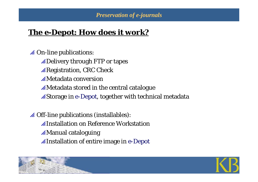#### **The e-Depot: How does it work?**

 $\mathscr A$  On-line publications:  $\mathbb Z$ Delivery through FTP or tapes  $\mathscr{R}$ Registration, CRC Check  $\mathscr{A}$ Metadata conversion  $\mathscr{A}$ Metadata stored in the central catalogue  $\mathscr{A}$ Storage in e-Depot, together with technical metadata

 $\mathscr A$  Off-line publications (installables):  $\not\!\!\!\nearrow$ Installation on Reference Workstation  $\mathbb Z$ Manual cataloguing pInstallation of entire image in *e*-Depot



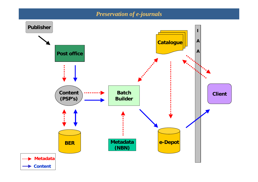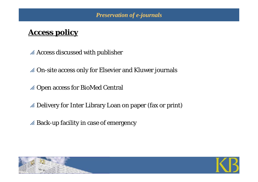#### **Access policy**

- $\mathscr A$  Access discussed with publisher
- $\mathscr A$  On-site access only for Elsevier and Kluwer journals
- $\mathscr A$  Open access for BioMed Central
- $\mathbb Z$  Delivery for Inter Library Loan on paper (fax or print)
- $\mathscr A$  Back-up facility in case of emergency



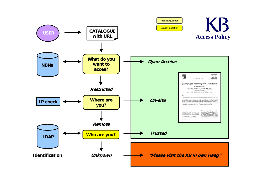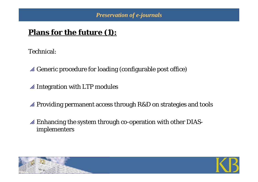# **Plans for the future (1):**

Technical:

- $\mathcal A$  Generic procedure for loading (configurable post office)
- $\mathscr A$  Integration with LTP modules
- $\mathscr A$  Providing permanent access through R&D on strategies and tools
- $\mathscr A$  Enhancing the system through co-operation with other DIASimplementers



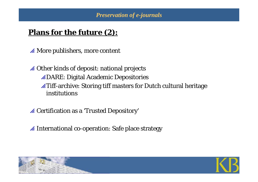# **Plans for the future (2):**

 $\mathscr A$  More publishers, more content

 $\mathscr A$  Other kinds of deposit: national projects  $\mathscr{L}$ DARE: Digital Academic Depositories  $\mathscr{L}$ Tiff-archive: Storing tiff masters for Dutch cultural heritage institutions

 $\mathscr A$  Certification as a 'Trusted Depository'

 $\mathscr A$  International co-operation: Safe place strategy